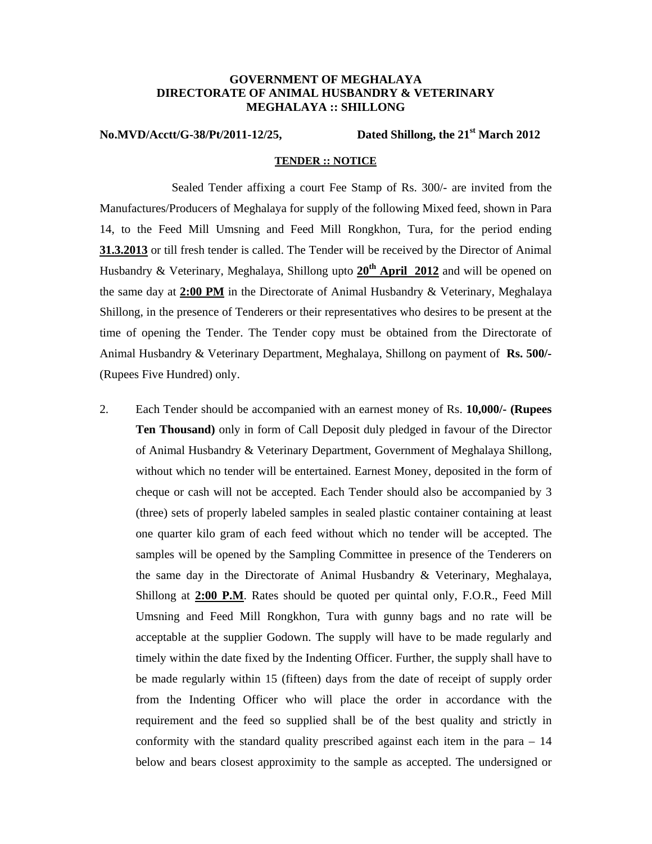### **GOVERNMENT OF MEGHALAYA DIRECTORATE OF ANIMAL HUSBANDRY & VETERINARY MEGHALAYA :: SHILLONG**

## **No.MVD/Acctt/G-38/Pt/2011-12/25, Dated Shillong, the 21st March 2012**

#### **TENDER :: NOTICE**

 14, to the Feed Mill Umsning and Feed Mill Rongkhon, Tura, for the period ending **31.3.2013** or till fresh tender is called. The Tender will be received by the Director of Animal the same day at **2:00 PM** in the Directorate of Animal Husbandry & Veterinary, Meghalaya time of opening the Tender. The Tender copy must be obtained from the Directorate of Sealed Tender affixing a court Fee Stamp of Rs. 300/- are invited from the Manufactures/Producers of Meghalaya for supply of the following Mixed feed, shown in Para Husbandry & Veterinary, Meghalaya, Shillong upto 20<sup>th</sup> April 2012 and will be opened on Shillong, in the presence of Tenderers or their representatives who desires to be present at the Animal Husbandry & Veterinary Department, Meghalaya, Shillong on payment of **Rs. 500/-** (Rupees Five Hundred) only.

 **Ten Thousand)** only in form of Call Deposit duly pledged in favour of the Director cheque or cash will not be accepted. Each Tender should also be accompanied by 3 timely within the date fixed by the Indenting Officer. Further, the supply shall have to conformity with the standard quality prescribed against each item in the para – 14 2. Each Tender should be accompanied with an earnest money of Rs. **10,000/- (Rupees**  of Animal Husbandry & Veterinary Department, Government of Meghalaya Shillong, without which no tender will be entertained. Earnest Money, deposited in the form of (three) sets of properly labeled samples in sealed plastic container containing at least one quarter kilo gram of each feed without which no tender will be accepted. The samples will be opened by the Sampling Committee in presence of the Tenderers on the same day in the Directorate of Animal Husbandry & Veterinary, Meghalaya, Shillong at **2:00 P.M**. Rates should be quoted per quintal only, F.O.R., Feed Mill Umsning and Feed Mill Rongkhon, Tura with gunny bags and no rate will be acceptable at the supplier Godown. The supply will have to be made regularly and be made regularly within 15 (fifteen) days from the date of receipt of supply order from the Indenting Officer who will place the order in accordance with the requirement and the feed so supplied shall be of the best quality and strictly in below and bears closest approximity to the sample as accepted. The undersigned or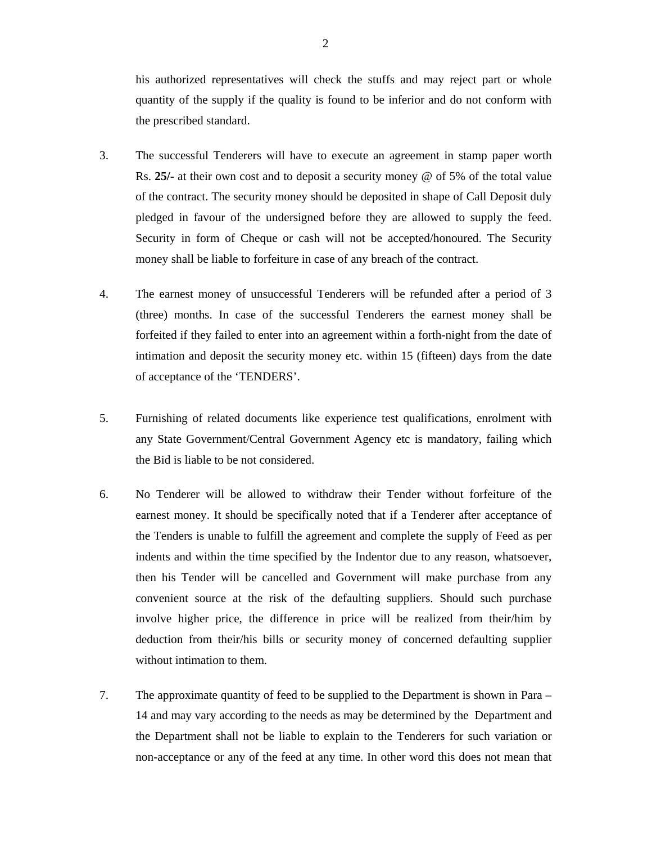quantity of the supply if the quality is found to be inferior and do not conform with his authorized representatives will check the stuffs and may reject part or whole the prescribed standard.

- 3. The successful Tenderers will have to execute an agreement in stamp paper worth Rs. **25/-** at their own cost and to deposit a security money @ of 5% of the total value Security in form of Cheque or cash will not be accepted/honoured. The Security of the contract. The security money should be deposited in shape of Call Deposit duly pledged in favour of the undersigned before they are allowed to supply the feed. money shall be liable to forfeiture in case of any breach of the contract.
- intimation and deposit the security money etc. within 15 (fifteen) days from the date 4. The earnest money of unsuccessful Tenderers will be refunded after a period of 3 (three) months. In case of the successful Tenderers the earnest money shall be forfeited if they failed to enter into an agreement within a forth-night from the date of of acceptance of the 'TENDERS'.
- any State Government/Central Government Agency etc is mandatory, failing which 5. Furnishing of related documents like experience test qualifications, enrolment with the Bid is liable to be not considered.
- 6. No Tenderer will be allowed to withdraw their Tender without forfeiture of the indents and within the time specified by the Indentor due to any reason, whatsoever, then his Tender will be cancelled and Government will make purchase from any convenient source at the risk of the defaulting suppliers. Should such purchase involve higher price, the difference in price will be realized from their/him by earnest money. It should be specifically noted that if a Tenderer after acceptance of the Tenders is unable to fulfill the agreement and complete the supply of Feed as per deduction from their/his bills or security money of concerned defaulting supplier without intimation to them.
- 7. The approximate quantity of feed to be supplied to the Department is shown in Para 14 and may vary according to the needs as may be determined by the Department and the Department shall not be liable to explain to the Tenderers for such variation or non-acceptance or any of the feed at any time. In other word this does not mean that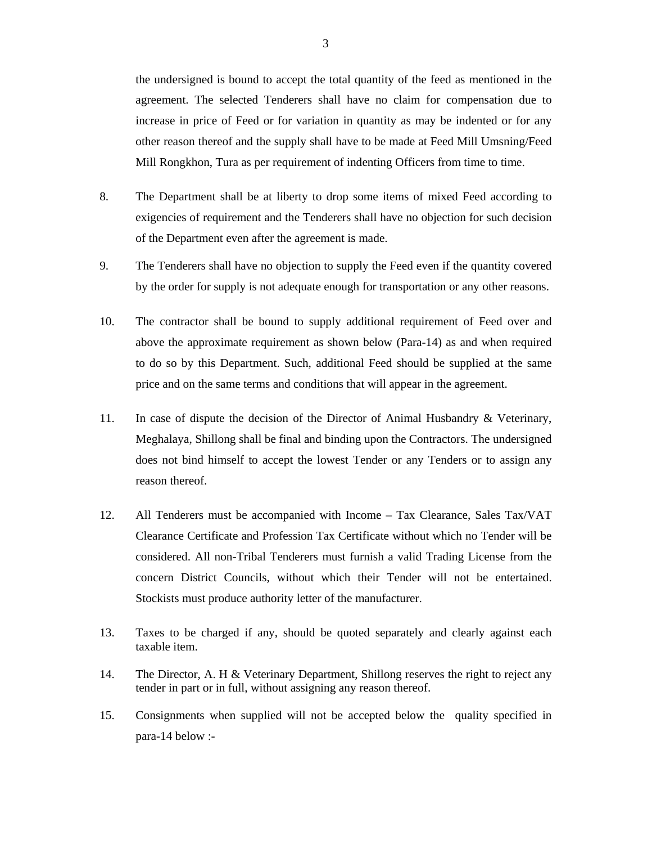increase in price of Feed or for variation in quantity as may be indented or for any other reason thereof and the supply shall have to be made at Feed Mill Umsning/Feed the undersigned is bound to accept the total quantity of the feed as mentioned in the agreement. The selected Tenderers shall have no claim for compensation due to Mill Rongkhon, Tura as per requirement of indenting Officers from time to time.

- 8. The Department shall be at liberty to drop some items of mixed Feed according to exigencies of requirement and the Tenderers shall have no objection for such decision of the Department even after the agreement is made.
- 9. The Tenderers shall have no objection to supply the Feed even if the quantity covered by the order for supply is not adequate enough for transportation or any other reasons.
- to do so by this Department. Such, additional Feed should be supplied at the same 10. The contractor shall be bound to supply additional requirement of Feed over and above the approximate requirement as shown below (Para-14) as and when required price and on the same terms and conditions that will appear in the agreement.
- 11. In case of dispute the decision of the Director of Animal Husbandry  $\&$  Veterinary, Meghalaya, Shillong shall be final and binding upon the Contractors. The undersigned does not bind himself to accept the lowest Tender or any Tenders or to assign any reason thereof.
- 12. All Tenderers must be accompanied with Income Tax Clearance, Sales Tax/VAT Clearance Certificate and Profession Tax Certificate without which no Tender will be considered. All non-Tribal Tenderers must furnish a valid Trading License from the concern District Councils, without which their Tender will not be entertained. Stockists must produce authority letter of the manufacturer.
- 13. Taxes to be charged if any, should be quoted separately and clearly against each taxable item.
- tender in part or in full, without assigning any reason thereof. 14. The Director, A. H & Veterinary Department, Shillong reserves the right to reject any
- 15. Consignments when supplied will not be accepted below the quality specified in para-14 below :-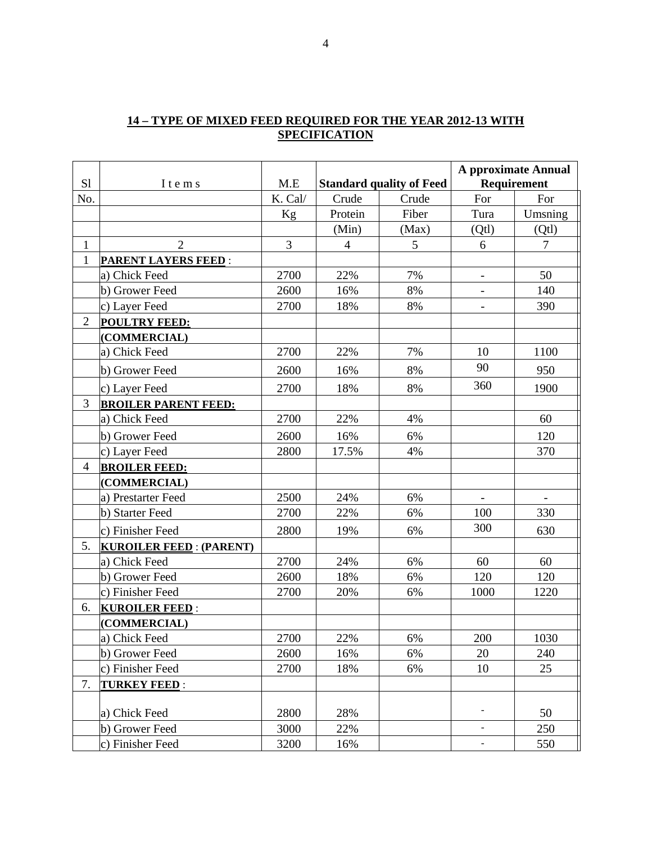| S1             |                                | M.E     |                                 |       | <b>A pproximate Annual</b><br>Requirement |                |
|----------------|--------------------------------|---------|---------------------------------|-------|-------------------------------------------|----------------|
|                | I t e m s                      |         | <b>Standard quality of Feed</b> |       |                                           |                |
| No.            |                                | K. Cal/ | Crude                           | Crude | For                                       | For            |
|                |                                | Kg      | Protein                         | Fiber | Tura                                      | Umsning        |
|                |                                |         | (Min)                           | (Max) | (Qt)                                      | (Qt)           |
| $\mathbf{1}$   | $\overline{2}$                 | 3       | $\overline{4}$                  | 5     | 6                                         | $\overline{7}$ |
| $\mathbf{1}$   | <b>PARENT LAYERS FEED:</b>     |         |                                 |       |                                           |                |
|                | a) Chick Feed                  | 2700    | 22%                             | 7%    | $\overline{\phantom{a}}$                  | 50             |
|                | b) Grower Feed                 | 2600    | 16%                             | $8\%$ | $\overline{\phantom{a}}$                  | 140            |
|                | c) Layer Feed                  | 2700    | 18%                             | 8%    | $\qquad \qquad \blacksquare$              | 390            |
| $\overline{2}$ | POULTRY FEED:                  |         |                                 |       |                                           |                |
|                | (COMMERCIAL)                   |         |                                 |       |                                           |                |
|                | a) Chick Feed                  | 2700    | 22%                             | 7%    | 10                                        | 1100           |
|                | b) Grower Feed                 | 2600    | 16%                             | 8%    | 90                                        | 950            |
|                | c) Layer Feed                  | 2700    | 18%                             | 8%    | 360                                       | 1900           |
| 3              | <b>BROILER PARENT FEED:</b>    |         |                                 |       |                                           |                |
|                | a) Chick Feed                  | 2700    | 22%                             | 4%    |                                           | 60             |
|                | b) Grower Feed                 | 2600    | 16%                             | 6%    |                                           | 120            |
|                | c) Layer Feed                  | 2800    | 17.5%                           | 4%    |                                           | 370            |
| 4              | <b>BROILER FEED:</b>           |         |                                 |       |                                           |                |
|                | (COMMERCIAL)                   |         |                                 |       |                                           |                |
|                | a) Prestarter Feed             | 2500    | 24%                             | 6%    |                                           |                |
|                | b) Starter Feed                | 2700    | 22%                             | 6%    | 100                                       | 330            |
|                | c) Finisher Feed               | 2800    | 19%                             | 6%    | 300                                       | 630            |
| 5.             | <b>KUROILER FEED: (PARENT)</b> |         |                                 |       |                                           |                |
|                | a) Chick Feed                  | 2700    | 24%                             | 6%    | 60                                        | 60             |
|                | b) Grower Feed                 | 2600    | 18%                             | 6%    | 120                                       | 120            |
|                | c) Finisher Feed               | 2700    | 20%                             | 6%    | 1000                                      | 1220           |
| 6.             | <b>KUROILER FEED:</b>          |         |                                 |       |                                           |                |
|                | (COMMERCIAL)                   |         |                                 |       |                                           |                |
|                | a) Chick Feed                  | 2700    | 22%                             | 6%    | 200                                       | 1030           |
|                | b) Grower Feed                 | 2600    | 16%                             | 6%    | 20                                        | 240            |
|                | c) Finisher Feed               | 2700    | 18%                             | 6%    | 10                                        | 25             |
| 7.             | <b>TURKEY FEED:</b>            |         |                                 |       |                                           |                |
|                |                                |         |                                 |       |                                           |                |
|                | a) Chick Feed                  | 2800    | 28%                             |       | $\overline{\phantom{a}}$                  | 50             |
|                | b) Grower Feed                 | 3000    | 22%                             |       | $\overline{\phantom{a}}$                  | 250            |
|                | c) Finisher Feed               | 3200    | 16%                             |       | $\overline{\phantom{a}}$                  | 550            |

# **14 – TYPE OF MIXED FEED REQUIRED FOR THE YEAR 2012-13 WITH SPECIFICATION**